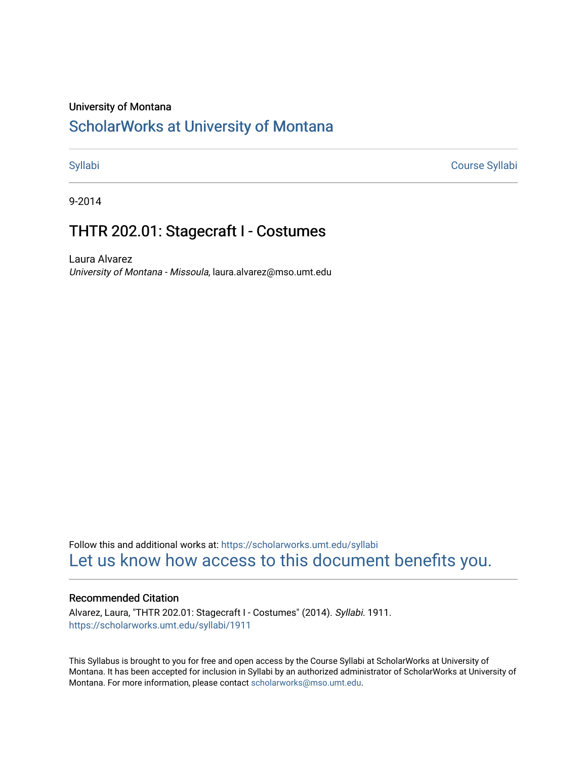#### University of Montana

## [ScholarWorks at University of Montana](https://scholarworks.umt.edu/)

[Syllabi](https://scholarworks.umt.edu/syllabi) [Course Syllabi](https://scholarworks.umt.edu/course_syllabi) 

9-2014

## THTR 202.01: Stagecraft I - Costumes

Laura Alvarez University of Montana - Missoula, laura.alvarez@mso.umt.edu

Follow this and additional works at: [https://scholarworks.umt.edu/syllabi](https://scholarworks.umt.edu/syllabi?utm_source=scholarworks.umt.edu%2Fsyllabi%2F1911&utm_medium=PDF&utm_campaign=PDFCoverPages)  [Let us know how access to this document benefits you.](https://goo.gl/forms/s2rGfXOLzz71qgsB2) 

#### Recommended Citation

Alvarez, Laura, "THTR 202.01: Stagecraft I - Costumes" (2014). Syllabi. 1911. [https://scholarworks.umt.edu/syllabi/1911](https://scholarworks.umt.edu/syllabi/1911?utm_source=scholarworks.umt.edu%2Fsyllabi%2F1911&utm_medium=PDF&utm_campaign=PDFCoverPages)

This Syllabus is brought to you for free and open access by the Course Syllabi at ScholarWorks at University of Montana. It has been accepted for inclusion in Syllabi by an authorized administrator of ScholarWorks at University of Montana. For more information, please contact [scholarworks@mso.umt.edu.](mailto:scholarworks@mso.umt.edu)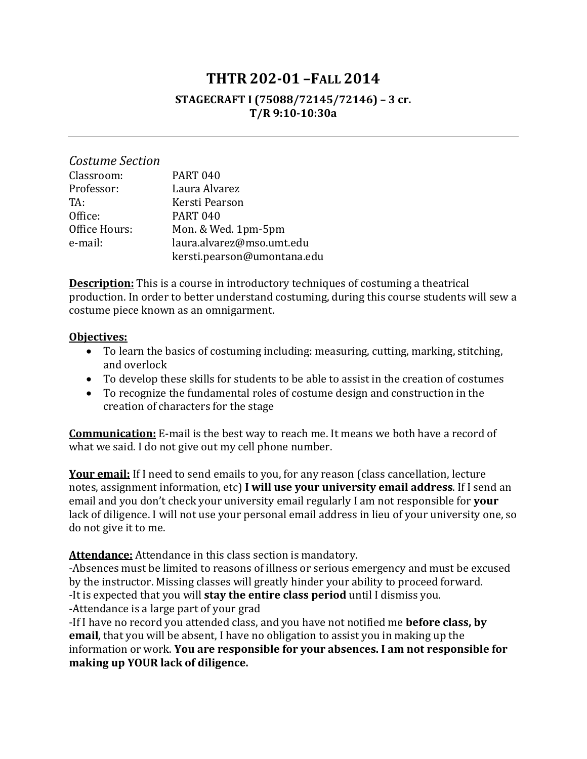# **THTR 202-01 –FALL 2014**

#### **STAGECRAFT I (75088/72145/72146) – 3 cr. T/R 9:10-10:30a**

| Costume Section |                             |
|-----------------|-----------------------------|
| Classroom:      | <b>PART 040</b>             |
| Professor:      | Laura Alvarez               |
| TA:             | Kersti Pearson              |
| Office:         | <b>PART 040</b>             |
| Office Hours:   | Mon. & Wed. 1pm-5pm         |
| e-mail:         | laura.alvarez@mso.umt.edu   |
|                 | kersti.pearson@umontana.edu |

**Description:** This is a course in introductory techniques of costuming a theatrical production. In order to better understand costuming, during this course students will sew a costume piece known as an omnigarment.

#### **Objectives:**

- To learn the basics of costuming including: measuring, cutting, marking, stitching, and overlock
- To develop these skills for students to be able to assist in the creation of costumes
- To recognize the fundamental roles of costume design and construction in the creation of characters for the stage

**Communication:** E-mail is the best way to reach me. It means we both have a record of what we said. I do not give out my cell phone number.

Your email: If I need to send emails to you, for any reason (class cancellation, lecture notes, assignment information, etc) **I will use your university email address**. If I send an email and you don't check your university email regularly I am not responsible for **your** lack of diligence. I will not use your personal email address in lieu of your university one, so do not give it to me.

**Attendance:** Attendance in this class section is mandatory.

-Absences must be limited to reasons of illness or serious emergency and must be excused by the instructor. Missing classes will greatly hinder your ability to proceed forward. -It is expected that you will **stay the entire class period** until I dismiss you. -Attendance is a large part of your grad

-If I have no record you attended class, and you have not notified me **before class, by email**, that you will be absent, I have no obligation to assist you in making up the information or work. **You are responsible for your absences. I am not responsible for making up YOUR lack of diligence.**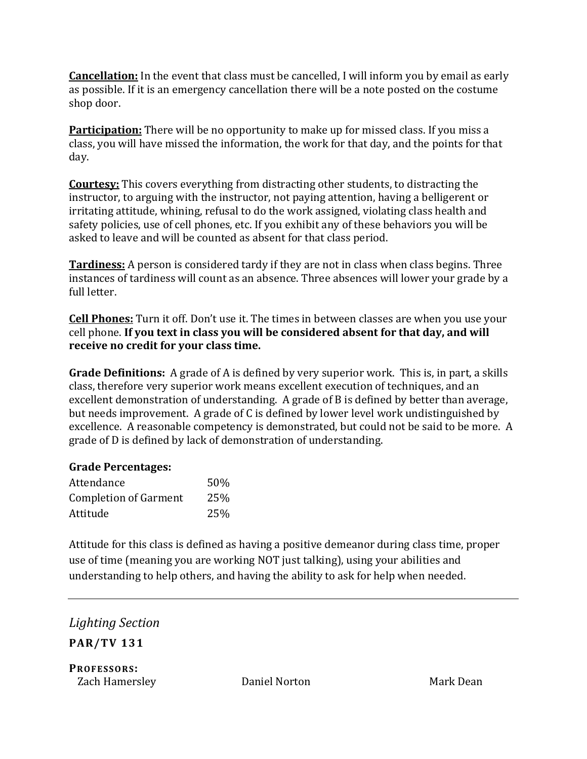**Cancellation:** In the event that class must be cancelled, I will inform you by email as early as possible. If it is an emergency cancellation there will be a note posted on the costume shop door.

**Participation:** There will be no opportunity to make up for missed class. If you miss a class, you will have missed the information, the work for that day, and the points for that day.

**Courtesy:** This covers everything from distracting other students, to distracting the instructor, to arguing with the instructor, not paying attention, having a belligerent or irritating attitude, whining, refusal to do the work assigned, violating class health and safety policies, use of cell phones, etc. If you exhibit any of these behaviors you will be asked to leave and will be counted as absent for that class period.

**Tardiness:** A person is considered tardy if they are not in class when class begins. Three instances of tardiness will count as an absence. Three absences will lower your grade by a full letter.

**Cell Phones:** Turn it off. Don't use it. The times in between classes are when you use your cell phone. **If you text in class you will be considered absent for that day, and will receive no credit for your class time.**

**Grade Definitions:** A grade of A is defined by very superior work. This is, in part, a skills class, therefore very superior work means excellent execution of techniques, and an excellent demonstration of understanding. A grade of B is defined by better than average, but needs improvement. A grade of C is defined by lower level work undistinguished by excellence. A reasonable competency is demonstrated, but could not be said to be more. A grade of D is defined by lack of demonstration of understanding.

### **Grade Percentages:**

| Attendance                   | 50% |
|------------------------------|-----|
| <b>Completion of Garment</b> | 25% |
| Attitude                     | 25% |

Attitude for this class is defined as having a positive demeanor during class time, proper use of time (meaning you are working NOT just talking), using your abilities and understanding to help others, and having the ability to ask for help when needed.

*Lighting Section* **PAR/TV 131**

**PROFESSORS:** Zach Hamersley **Daniel Norton** Mark Dean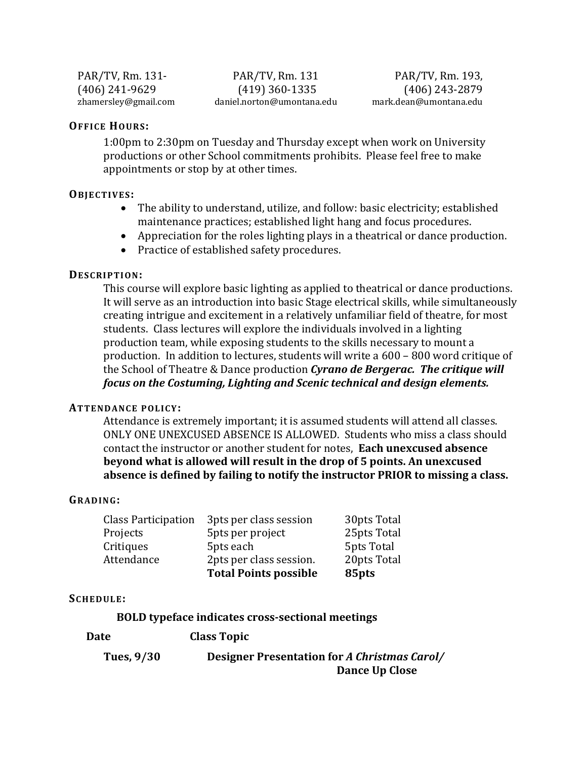PAR/TV, Rm. 131-<br>(406) 241-9629 (419) 360-1335 (406) 243-2879 (406) 241-9629 (419) 360-1335 (406) 243-2879 daniel.norton@umontana.edu

#### **OFFICE HOURS:**

1:00pm to 2:30pm on Tuesday and Thursday except when work on University productions or other School commitments prohibits. Please feel free to make appointments or stop by at other times.

#### **OBJECTIVES:**

- The ability to understand, utilize, and follow: basic electricity; established maintenance practices; established light hang and focus procedures.
- Appreciation for the roles lighting plays in a theatrical or dance production.
- Practice of established safety procedures.

#### **DESCRIPTION:**

This course will explore basic lighting as applied to theatrical or dance productions. It will serve as an introduction into basic Stage electrical skills, while simultaneously creating intrigue and excitement in a relatively unfamiliar field of theatre, for most students. Class lectures will explore the individuals involved in a lighting production team, while exposing students to the skills necessary to mount a production. In addition to lectures, students will write a 600 – 800 word critique of the School of Theatre & Dance production *Cyrano de Bergerac. The critique will focus on the Costuming, Lighting and Scenic technical and design elements.* 

#### **ATTENDANCE POLICY:**

Attendance is extremely important; it is assumed students will attend all classes. ONLY ONE UNEXCUSED ABSENCE IS ALLOWED. Students who miss a class should contact the instructor or another student for notes, **Each unexcused absence beyond what is allowed will result in the drop of 5 points. An unexcused absence is defined by failing to notify the instructor PRIOR to missing a class.**

#### **GRADING:**

|                            | <b>Total Points possible</b> | 85pts       |
|----------------------------|------------------------------|-------------|
| Attendance                 | 2pts per class session.      | 20pts Total |
| Critiques                  | 5pts each                    | 5pts Total  |
| Projects                   | 5pts per project             | 25pts Total |
| <b>Class Participation</b> | 3pts per class session       | 30pts Total |

#### **SCHEDULE:**

**Date Class Topic**

#### **BOLD typeface indicates cross-sectional meetings**

| Tues, 9/30 | Designer Presentation for A Christmas Carol/ |
|------------|----------------------------------------------|
|            | Dance Up Close                               |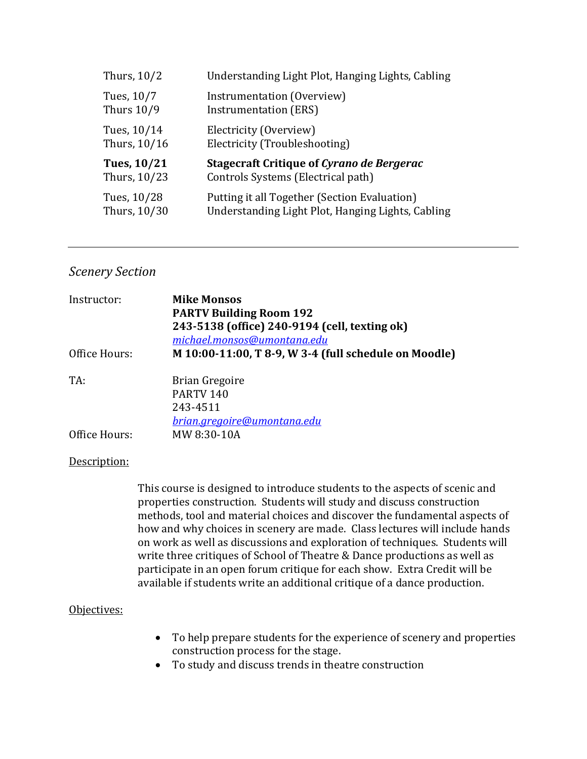| Thurs, 10/2       | Understanding Light Plot, Hanging Lights, Cabling |
|-------------------|---------------------------------------------------|
| Tues, 10/7        | Instrumentation (Overview)                        |
| <b>Thurs 10/9</b> | <b>Instrumentation (ERS)</b>                      |
| Tues, 10/14       | Electricity (Overview)                            |
| Thurs, 10/16      | Electricity (Troubleshooting)                     |
| Tues, 10/21       | <b>Stagecraft Critique of Cyrano de Bergerac</b>  |
| Thurs, 10/23      | Controls Systems (Electrical path)                |
| Tues, 10/28       | Putting it all Together (Section Evaluation)      |
| Thurs, 10/30      | Understanding Light Plot, Hanging Lights, Cabling |

#### *Scenery Section*

| Instructor:   | <b>Mike Monsos</b><br><b>PARTV Building Room 192</b><br>243-5138 (office) 240-9194 (cell, texting ok)<br>michael.monsos@umontana.edu |
|---------------|--------------------------------------------------------------------------------------------------------------------------------------|
| Office Hours: | M 10:00-11:00, T 8-9, W 3-4 (full schedule on Moodle)                                                                                |
| TA:           | <b>Brian Gregoire</b><br>PARTV <sub>140</sub><br>243-4511<br><u>brian.gregoire@umontana.edu</u>                                      |
| Office Hours: | MW 8:30-10A                                                                                                                          |

#### Description:

This course is designed to introduce students to the aspects of scenic and properties construction. Students will study and discuss construction methods, tool and material choices and discover the fundamental aspects of how and why choices in scenery are made. Class lectures will include hands on work as well as discussions and exploration of techniques. Students will write three critiques of School of Theatre & Dance productions as well as participate in an open forum critique for each show. Extra Credit will be available if students write an additional critique of a dance production.

#### Objectives:

- To help prepare students for the experience of scenery and properties construction process for the stage.
- To study and discuss trends in theatre construction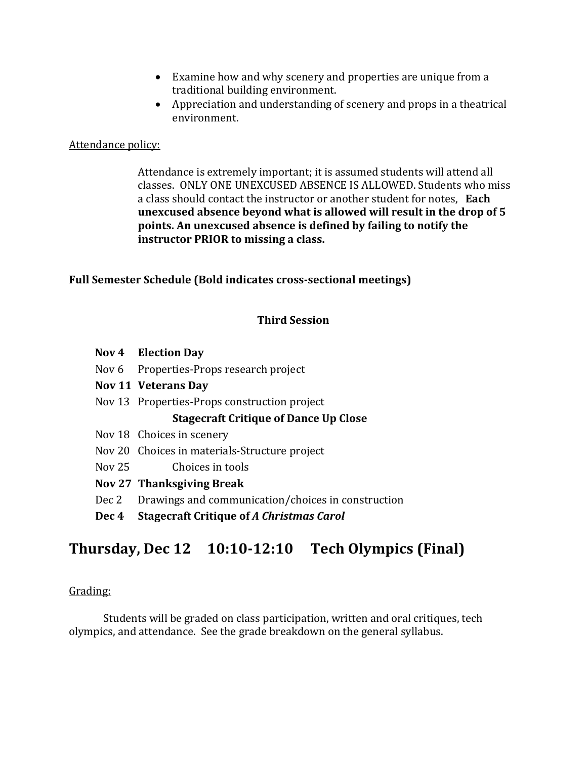- Examine how and why scenery and properties are unique from a traditional building environment.
- Appreciation and understanding of scenery and props in a theatrical environment.

#### Attendance policy:

Attendance is extremely important; it is assumed students will attend all classes. ONLY ONE UNEXCUSED ABSENCE IS ALLOWED. Students who miss a class should contact the instructor or another student for notes, **Each unexcused absence beyond what is allowed will result in the drop of 5 points. An unexcused absence is defined by failing to notify the instructor PRIOR to missing a class.**

#### **Full Semester Schedule (Bold indicates cross-sectional meetings)**

#### **Third Session**

- **Nov 4 Election Day**
- Nov 6 Properties-Props research project
- **Nov 11 Veterans Day**
- Nov 13 Properties-Props construction project

#### **Stagecraft Critique of Dance Up Close**

- Nov 18 Choices in scenery
- Nov 20 Choices in materials-Structure project
- Nov 25 Choices in tools

#### **Nov 27 Thanksgiving Break**

- Dec 2 Drawings and communication/choices in construction
- **Dec 4 Stagecraft Critique of** *A Christmas Carol*

# **Thursday, Dec 12 10:10-12:10 Tech Olympics (Final)**

#### Grading:

Students will be graded on class participation, written and oral critiques, tech olympics, and attendance. See the grade breakdown on the general syllabus.